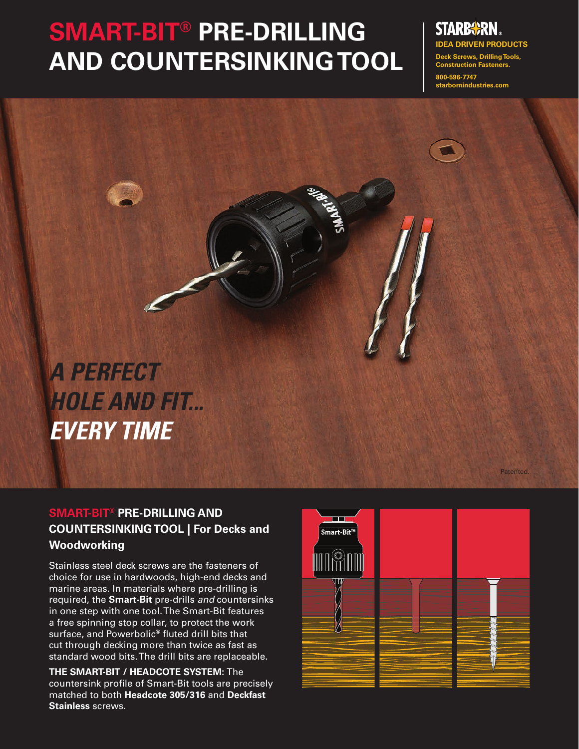## **SMART-BIT® PRE-DRILLING AND COUNTERSINKING TOOL**

# **IDEA DRIVEN PRODUCTS**

**Deck Screws, Drilling Tools, Construction Fasteners. 800-596-7747** 

**Patented** 

**starbornindustries.com**

*A PERFECT HOLE AND FIT... EVERY TIME*

### **SMART-BIT® PRE-DRILLING AND COUNTERSINKING TOOL | For Decks and Woodworking**

Stainless steel deck screws are the fasteners of choice for use in hardwoods, high-end decks and marine areas. In materials where pre-drilling is required, the **Smart-Bit** pre-drills *and* countersinks in one step with one tool. The Smart-Bit features a free spinning stop collar, to protect the work surface, and Powerbolic**®** fluted drill bits that cut through decking more than twice as fast as standard wood bits. The drill bits are replaceable.

**THE SMART-BIT / HEADCOTE SYSTEM:** The countersink profile of Smart-Bit tools are precisely matched to both **Headcote 305/316** and **Deckfast Stainless** screws.